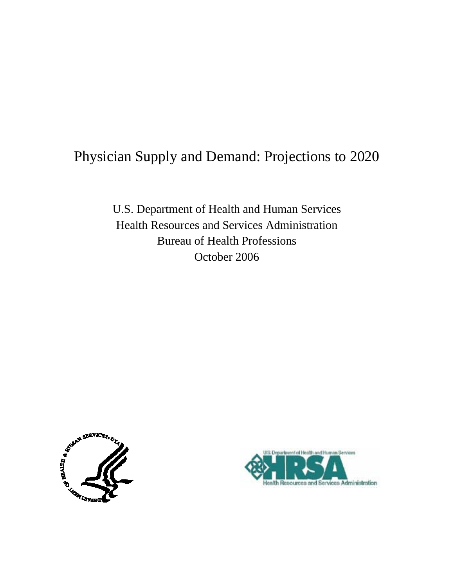# Physician Supply and Demand: Projections to 2020

U.S. Department of Health and Human Services Health Resources and Services Administration Bureau of Health Professions October 2006



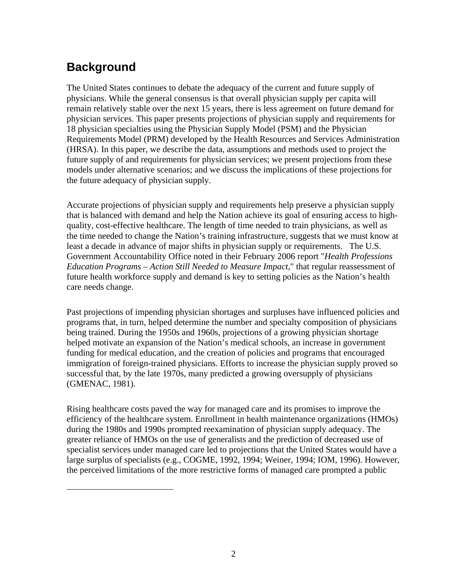# **Background**

<span id="page-1-0"></span> $\overline{a}$ 

The United States continues to debate the adequacy of the current and future supply of physicians. While the general consensus is that overall physician supply per capita will remain relatively stable over the next 15 years, there is less agreement on future demand for physician services. This paper presents projections of physician supply and requirements for 18 physician specialties using the Physician Supply Model (PSM) and the Physician Requirements Model (PRM) developed by the Health Resources and Services Administration (HRSA). [I](#page-1-0)n this paper, we describe the data, assumptions and methods used to project the future supply of and requirements for physician services; we present projections from these models under alternative scenarios; and we discuss the implications of these projections for the future adequacy of physician supply.

Accurate projections of physician supply and requirements help preserve a physician supply that is balanced with demand and help the Nation achieve its goal of ensuring access to highquality, cost-effective healthcare. The length of time needed to train physicians, as well as the time needed to change the Nation's training infrastructure, suggests that we must know at least a decade in advance of major shifts in physician supply or requirements. The U.S. Government Accountability Office noted in their February 2006 report "*Health Professions Education Programs – Action Still Needed to Measure Impact*," that regular reassessment of future health workforce supply and demand is key to setting policies as the Nation's health care needs change.

Past projections of impending physician shortages and surpluses have influenced policies and programs that, in turn, helped determine the number and specialty composition of physicians being trained. During the 1950s and 1960s, projections of a growing physician shortage helped motivate an expansion of the Nation's medical schools, an increase in government funding for medical education, and the creation of policies and programs that encouraged immigration of foreign-trained physicians. Efforts to increase the physician supply proved so successful that, by the late 1970s, many predicted a growing oversupply of physicians (GMENAC, 1981).

Rising healthcare costs paved the way for managed care and its promises to improve the efficiency of the healthcare system. Enrollment in health maintenance organizations (HMOs) during the 1980s and 1990s prompted reexamination of physician supply adequacy. The greater reliance of HMOs on the use of generalists and the prediction of decreased use of specialist services under managed care led to projections that the United States would have a large surplus of specialists (e.g., COGME, 1992, 1994; Weiner, 1994; IOM, 1996). However, the perceived limitations of the more restrictive forms of managed care prompted a public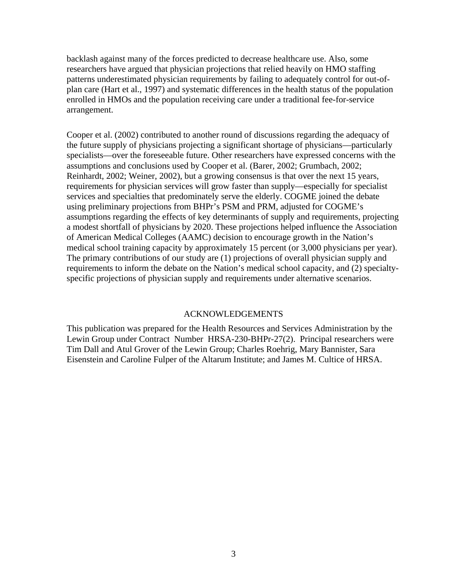backlash against many of the forces predicted to decrease healthcare use. Also, some researchers have argued that physician projections that relied heavily on HMO staffing patterns underestimated physician requirements by failing to adequately control for out-ofplan care (Hart et al., 1997) and systematic differences in the health status of the population enrolled in HMOs and the population receiving care under a traditional fee-for-service arrangement.

Cooper et al. (2002) contributed to another round of discussions regarding the adequacy of the future supply of physicians projecting a significant shortage of physicians—particularly specialists—over the foreseeable future. Other researchers have expressed concerns with the assumptions and conclusions used by Cooper et al. (Barer, 2002; Grumbach, 2002; Reinhardt, 2002; Weiner, 2002), but a growing consensus is that over the next 15 years, requirements for physician services will grow faster than supply—especially for specialist services and specialties that predominately serve the elderly. COGME joined the debate using preliminary projections from BHPr's PSM and PRM, adjusted for COGME's assumptions regarding the effects of key determinants of supply and requirements, projecting a modest shortfall of physicians by 2020. These projections helped influence the Association of American Medical Colleges (AAMC) decision to encourage growth in the Nation's medical school training capacity by approximately 15 percent (or 3,000 physicians per year). The primary contributions of our study are (1) projections of overall physician supply and requirements to inform the debate on the Nation's medical school capacity, and (2) specialtyspecific projections of physician supply and requirements under alternative scenarios.

#### ACKNOWLEDGEMENTS

This publication was prepared for the Health Resources and Services Administration by the Lewin Group under Contract Number HRSA-230-BHPr-27(2). Principal researchers were Tim Dall and Atul Grover of the Lewin Group; Charles Roehrig, Mary Bannister, Sara Eisenstein and Caroline Fulper of the Altarum Institute; and James M. Cultice of HRSA.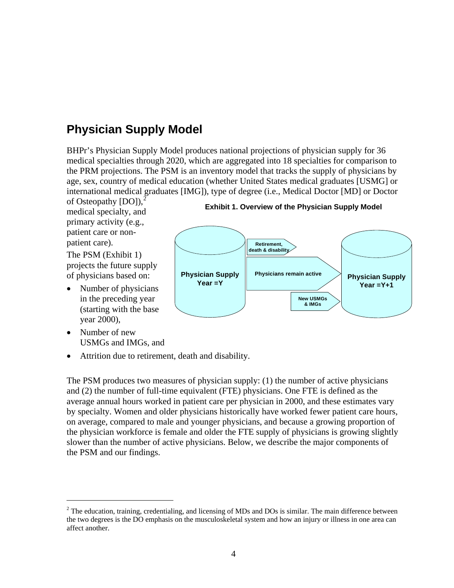# **Physician Supply Model**

BHPr's Physician Supply Model produces national projections of physician supply for 36 medical specialties through 2020, which are aggregated into 18 specialties for comparison to the PRM projections. The PSM is an inventory model that tracks the supply of physicians by age, sex, country of medical education (whether United States medical graduates [USMG] or international medical graduates [IMG]), type of degree (i.e., Medical Doctor [MD] or Doctor

of Osteopathy  $[DO]$ ),<sup>[2](#page-3-0)</sup> medical specialty, and primary activity (e.g., patient care or nonpatient care).

The PSM (Exhibit 1) projects the future supply of physicians based on:

• Number of physicians in the preceding year (starting with the base year 2000),

**Exhibit 1. Overview of the Physician Supply Model** 



• Number of new USMGs and IMGs, and

 $\overline{a}$ 

• Attrition due to retirement, death and disability.

The PSM produces two measures of physician supply: (1) the number of active physicians and (2) the number of full-time equivalent (FTE) physicians. One FTE is defined as the average annual hours worked in patient care per physician in 2000, and these estimates vary by specialty. Women and older physicians historically have worked fewer patient care hours, on average, compared to male and younger physicians, and because a growing proportion of the physician workforce is female and older the FTE supply of physicians is growing slightly slower than the number of active physicians. Below, we describe the major components of the PSM and our findings.

<span id="page-3-0"></span> $2^2$  The education, training, credentialing, and licensing of MDs and DOs is similar. The main difference between the two degrees is the DO emphasis on the musculoskeletal system and how an injury or illness in one area can affect another.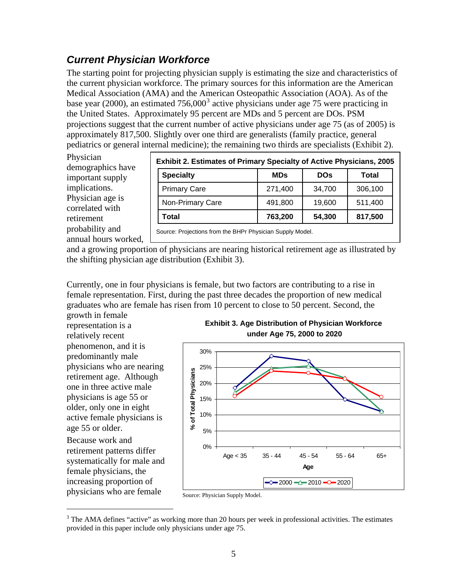#### *Current Physician Workforce*

The starting point for projecting physician supply is estimating the size and characteristics of the current physician workforce. The primary sources for this information are the American Medical Association (AMA) and the American Osteopathic Association (AOA). As of the base year (2000), an estimated  $756,000^3$  $756,000^3$  active physicians under age 75 were practicing in the United States. Approximately 95 percent are MDs and 5 percent are DOs. PSM projections suggest that the current number of active physicians under age 75 (as of 2005) is approximately 817,500. Slightly over one third are generalists (family practice, general pediatrics or general internal medicine); the remaining two thirds are specialists (Exhibit 2).

Physician demographics have important supply implications. Physician age is correlated with retirement probability and annual hours worked,

| <b>Exhibit 2. Estimates of Primary Specialty of Active Physicians, 2005</b> |            |            |              |  |  |  |  |
|-----------------------------------------------------------------------------|------------|------------|--------------|--|--|--|--|
| <b>Specialty</b>                                                            | <b>MDs</b> | <b>DOs</b> | <b>Total</b> |  |  |  |  |
| <b>Primary Care</b>                                                         | 271,400    | 34,700     | 306,100      |  |  |  |  |
| Non-Primary Care                                                            | 491,800    | 19,600     | 511,400      |  |  |  |  |
| Total                                                                       | 763,200    | 54,300     | 817,500      |  |  |  |  |

Source: Projections from the BHPr Physician Supply Model.

and a growing proportion of physicians are nearing historical retirement age as illustrated by the shifting physician age distribution (Exhibit 3).

Currently, one in four physicians is female, but two factors are contributing to a rise in female representation. First, during the past three decades the proportion of new medical graduates who are female has risen from 10 percent to close to 50 percent. Second, the growth in female

representation is a relatively recent phenomenon, and it is predominantly male physicians who are nearing retirement age. Although one in three active male physicians is age 55 or older, only one in eight active female physicians is age 55 or older.

Because work and retirement patterns differ systematically for male and female physicians, the increasing proportion of physicians who are female

 $\overline{a}$ 





Source: Physician Supply Model.

<span id="page-4-0"></span> $3$  The AMA defines "active" as working more than 20 hours per week in professional activities. The estimates provided in this paper include only physicians under age 75.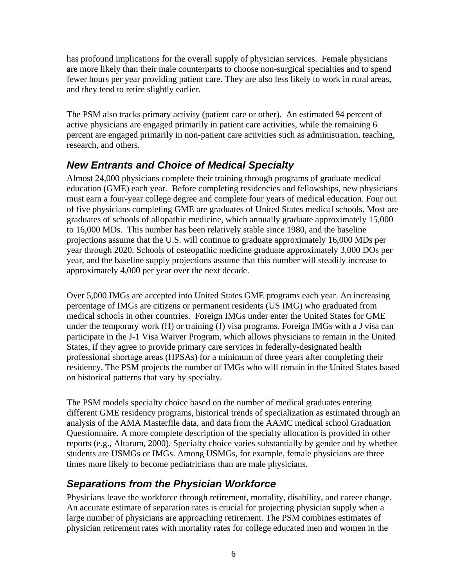has profound implications for the overall supply of physician services. Female physicians are more likely than their male counterparts to choose non-surgical specialties and to spend fewer hours per year providing patient care. They are also less likely to work in rural areas, and they tend to retire slightly earlier.

The PSM also tracks primary activity (patient care or other). An estimated 94 percent of active physicians are engaged primarily in patient care activities, while the remaining 6 percent are engaged primarily in non-patient care activities such as administration, teaching, research, and others.

#### *New Entrants and Choice of Medical Specialty*

Almost 24,000 physicians complete their training through programs of graduate medical education (GME) each year. Before completing residencies and fellowships, new physicians must earn a four-year college degree and complete four years of medical education. Four out of five physicians completing GME are graduates of United States medical schools. Most are graduates of schools of allopathic medicine, which annually graduate approximately 15,000 to 16,000 MDs. This number has been relatively stable since 1980, and the baseline projections assume that the U.S. will continue to graduate approximately 16,000 MDs per year through 2020. Schools of osteopathic medicine graduate approximately 3,000 DOs per year, and the baseline supply projections assume that this number will steadily increase to approximately 4,000 per year over the next decade.

Over 5,000 IMGs are accepted into United States GME programs each year. An increasing percentage of IMGs are citizens or permanent residents (US IMG) who graduated from medical schools in other countries. Foreign IMGs under enter the United States for GME under the temporary work (H) or training (J) visa programs. Foreign IMGs with a J visa can participate in the J-1 Visa Waiver Program, which allows physicians to remain in the United States, if they agree to provide primary care services in federally-designated health professional shortage areas (HPSAs) for a minimum of three years after completing their residency. The PSM projects the number of IMGs who will remain in the United States based on historical patterns that vary by specialty.

The PSM models specialty choice based on the number of medical graduates entering different GME residency programs, historical trends of specialization as estimated through an analysis of the AMA Masterfile data, and data from the AAMC medical school Graduation Questionnaire. A more complete description of the specialty allocation is provided in other reports (e.g., Altarum, 2000). Specialty choice varies substantially by gender and by whether students are USMGs or IMGs. Among USMGs, for example, female physicians are three times more likely to become pediatricians than are male physicians.

## *Separations from the Physician Workforce*

Physicians leave the workforce through retirement, mortality, disability, and career change. An accurate estimate of separation rates is crucial for projecting physician supply when a large number of physicians are approaching retirement. The PSM combines estimates of physician retirement rates with mortality rates for college educated men and women in the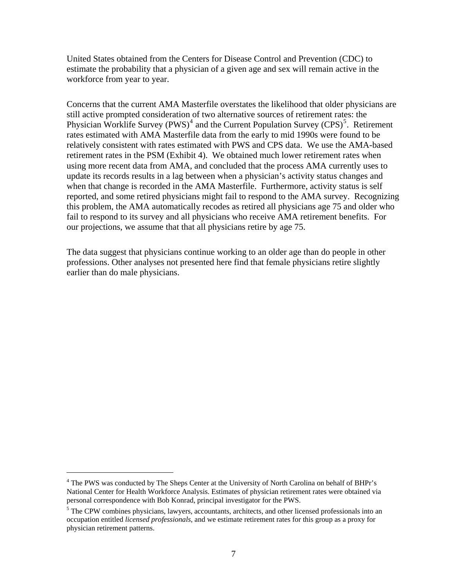United States obtained from the Centers for Disease Control and Prevention (CDC) to estimate the probability that a physician of a given age and sex will remain active in the workforce from year to year.

Concerns that the current AMA Masterfile overstates the likelihood that older physicians are still active prompted consideration of two alternative sources of retirement rates: the Physician Worklife Survey (PWS)<sup>[4](#page-6-0)</sup> and the Current Population Survey (CPS)<sup>[5](#page-6-1)</sup>. Retirement rates estimated with AMA Masterfile data from the early to mid 1990s were found to be relatively consistent with rates estimated with PWS and CPS data. We use the AMA-based retirement rates in the PSM (Exhibit 4). We obtained much lower retirement rates when using more recent data from AMA, and concluded that the process AMA currently uses to update its records results in a lag between when a physician's activity status changes and when that change is recorded in the AMA Masterfile. Furthermore, activity status is self reported, and some retired physicians might fail to respond to the AMA survey. Recognizing this problem, the AMA automatically recodes as retired all physicians age 75 and older who fail to respond to its survey and all physicians who receive AMA retirement benefits. For our projections, we assume that that all physicians retire by age 75.

The data suggest that physicians continue working to an older age than do people in other professions. Other analyses not presented here find that female physicians retire slightly earlier than do male physicians.

 $\overline{a}$ 

<sup>&</sup>lt;sup>4</sup> The PWS was conducted by The Sheps Center at the University of North Carolina on behalf of BHPr's National Center for Health Workforce Analysis. Estimates of physician retirement rates were obtained via personal correspondence with Bob Konrad, principal investigator for the PWS.

<span id="page-6-1"></span><span id="page-6-0"></span><sup>&</sup>lt;sup>5</sup> The CPW combines physicians, lawyers, accountants, architects, and other licensed professionals into an occupation entitled *licensed professionals*, and we estimate retirement rates for this group as a proxy for physician retirement patterns.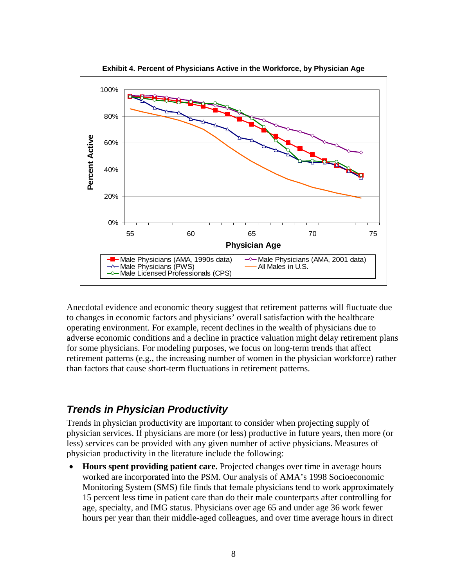

**Exhibit 4. Percent of Physicians Active in the Workforce, by Physician Age** 

Anecdotal evidence and economic theory suggest that retirement patterns will fluctuate due to changes in economic factors and physicians' overall satisfaction with the healthcare operating environment. For example, recent declines in the wealth of physicians due to adverse economic conditions and a decline in practice valuation might delay retirement plans for some physicians. For modeling purposes, we focus on long-term trends that affect retirement patterns (e.g., the increasing number of women in the physician workforce) rather than factors that cause short-term fluctuations in retirement patterns.

#### *Trends in Physician Productivity*

Trends in physician productivity are important to consider when projecting supply of physician services. If physicians are more (or less) productive in future years, then more (or less) services can be provided with any given number of active physicians. Measures of physician productivity in the literature include the following:

• **Hours spent providing patient care.** Projected changes over time in average hours worked are incorporated into the PSM. Our analysis of AMA's 1998 Socioeconomic Monitoring System (SMS) file finds that female physicians tend to work approximately 15 percent less time in patient care than do their male counterparts after controlling for age, specialty, and IMG status. Physicians over age 65 and under age 36 work fewer hours per year than their middle-aged colleagues, and over time average hours in direct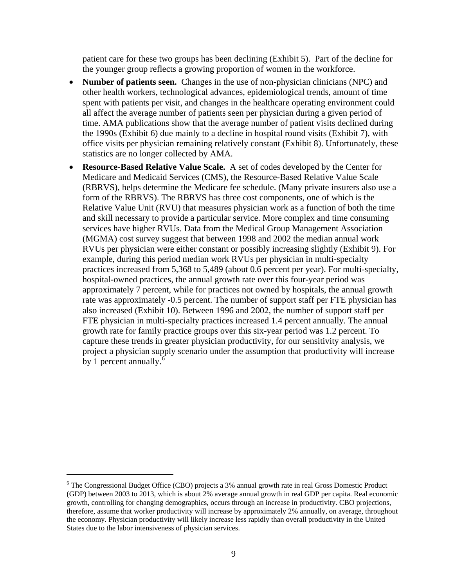patient care for these two groups has been declining (Exhibit 5). Part of the decline for the younger group reflects a growing proportion of women in the workforce.

- **Number of patients seen.** Changes in the use of non-physician clinicians (NPC) and other health workers, technological advances, epidemiological trends, amount of time spent with patients per visit, and changes in the healthcare operating environment could all affect the average number of patients seen per physician during a given period of time. AMA publications show that the average number of patient visits declined during the 1990s (Exhibit 6) due mainly to a decline in hospital round visits (Exhibit 7), with office visits per physician remaining relatively constant (Exhibit 8). Unfortunately, these statistics are no longer collected by AMA.
- **Resource-Based Relative Value Scale.** A set of codes developed by the Center for Medicare and Medicaid Services (CMS), the Resource-Based Relative Value Scale (RBRVS), helps determine the Medicare fee schedule. (Many private insurers also use a form of the RBRVS). The RBRVS has three cost components, one of which is the Relative Value Unit (RVU) that measures physician work as a function of both the time and skill necessary to provide a particular service. More complex and time consuming services have higher RVUs. Data from the Medical Group Management Association (MGMA) cost survey suggest that between 1998 and 2002 the median annual work RVUs per physician were either constant or possibly increasing slightly (Exhibit 9). For example, during this period median work RVUs per physician in multi-specialty practices increased from 5,368 to 5,489 (about 0.6 percent per year). For multi-specialty, hospital-owned practices, the annual growth rate over this four-year period was approximately 7 percent, while for practices not owned by hospitals, the annual growth rate was approximately -0.5 percent. The number of support staff per FTE physician has also increased (Exhibit 10). Between 1996 and 2002, the number of support staff per FTE physician in multi-specialty practices increased 1.4 percent annually. The annual growth rate for family practice groups over this six-year period was 1.2 percent. To capture these trends in greater physician productivity, for our sensitivity analysis, we project a physician supply scenario under the assumption that productivity will increase by 1 percent annually.<sup>[6](#page-8-0)</sup>

 $\overline{a}$ 

<span id="page-8-0"></span><sup>&</sup>lt;sup>6</sup> The Congressional Budget Office (CBO) projects a 3% annual growth rate in real Gross Domestic Product (GDP) between 2003 to 2013, which is about 2% average annual growth in real GDP per capita. Real economic growth, controlling for changing demographics, occurs through an increase in productivity. CBO projections, therefore, assume that worker productivity will increase by approximately 2% annually, on average, throughout the economy. Physician productivity will likely increase less rapidly than overall productivity in the United States due to the labor intensiveness of physician services.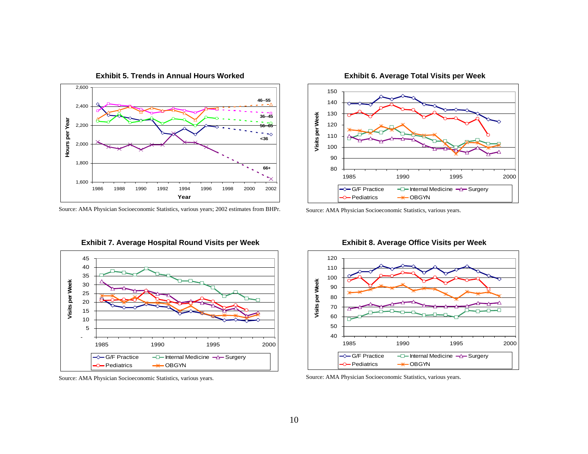

**Exhibit 5. Trends in Annual Hours Worked** 

**Exhibit 6. Average Total Visits per Week** 



Source: AMA Physician Socioeconomic Statistics, various years.





**Exhibit 8. Average Office Visits per Week** 



Source: AMA Physician Socioeconomic Statistics, various years.

Source: AMA Physician Socioeconomic Statistics, various years; 2002 estimates from BHPr.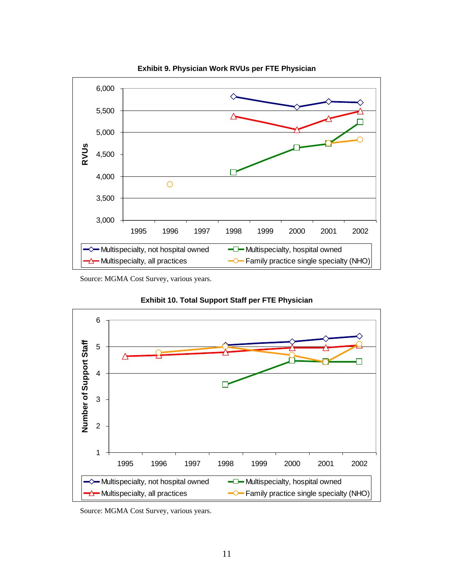

**Exhibit 9. Physician Work RVUs per FTE Physician** 

Source: MGMA Cost Survey, various years.





Source: MGMA Cost Survey, various years.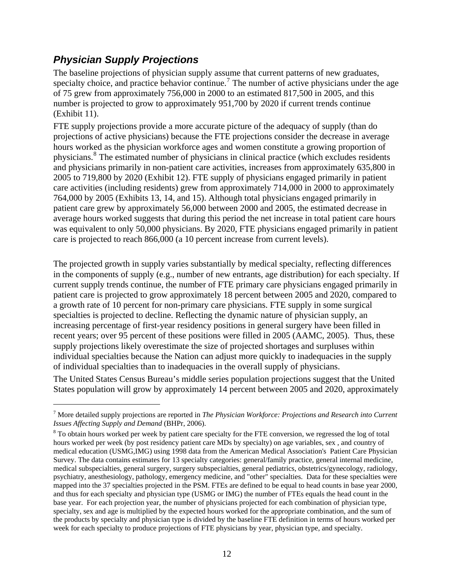#### <span id="page-11-0"></span>*Physician Supply Projections*

 $\overline{a}$ 

The baseline projections of physician supply assume that current patterns of new graduates, specialty choice, and practice behavior continue.<sup>[7](#page-11-0)</sup> The number of active physicians under the age of 75 grew from approximately 756,000 in 2000 to an estimated 817,500 in 2005, and this number is projected to grow to approximately 951,700 by 2020 if current trends continue (Exhibit 11).

FTE supply projections provide a more accurate picture of the adequacy of supply (than do projections of active physicians) because the FTE projections consider the decrease in average hours worked as the physician workforce ages and women constitute a growing proportion of physicians.<sup>[8](#page-11-0)</sup> The estimated number of physicians in clinical practice (which excludes residents and physicians primarily in non-patient care activities, increases from approximately 635,800 in 2005 to 719,800 by 2020 (Exhibit 12). FTE supply of physicians engaged primarily in patient care activities (including residents) grew from approximately 714,000 in 2000 to approximately 764,000 by 2005 (Exhibits 13, 14, and 15). Although total physicians engaged primarily in patient care grew by approximately 56,000 between 2000 and 2005, the estimated decrease in average hours worked suggests that during this period the net increase in total patient care hours was equivalent to only 50,000 physicians. By 2020, FTE physicians engaged primarily in patient care is projected to reach 866,000 (a 10 percent increase from current levels).

The projected growth in supply varies substantially by medical specialty, reflecting differences in the components of supply (e.g., number of new entrants, age distribution) for each specialty. If current supply trends continue, the number of FTE primary care physicians engaged primarily in patient care is projected to grow approximately 18 percent between 2005 and 2020, compared to a growth rate of 10 percent for non-primary care physicians. FTE supply in some surgical specialties is projected to decline. Reflecting the dynamic nature of physician supply, an increasing percentage of first-year residency positions in general surgery have been filled in recent years; over 95 percent of these positions were filled in 2005 (AAMC, 2005). Thus, these supply projections likely overestimate the size of projected shortages and surpluses within individual specialties because the Nation can adjust more quickly to inadequacies in the supply of individual specialties than to inadequacies in the overall supply of physicians.

The United States Census Bureau's middle series population projections suggest that the United States population will grow by approximately 14 percent between 2005 and 2020, approximately

<sup>7</sup> More detailed supply projections are reported in *The Physician Workforce: Projections and Research into Current Issues Affecting Supply and Demand* (BHPr, 2006).

<sup>&</sup>lt;sup>8</sup> To obtain hours worked per week by patient care specialty for the FTE conversion, we regressed the log of total hours worked per week (by post residency patient care MDs by specialty) on age variables, sex , and country of medical education (USMG,IMG) using 1998 data from the American Medical Association's Patient Care Physician Survey. The data contains estimates for 13 specialty categories: general/family practice, general internal medicine, medical subspecialties, general surgery, surgery subspecialties, general pediatrics, obstetrics/gynecology, radiology, psychiatry, anesthesiology, pathology, emergency medicine, and "other" specialties. Data for these specialties were mapped into the 37 specialties projected in the PSM. FTEs are defined to be equal to head counts in base year 2000, and thus for each specialty and physician type (USMG or IMG) the number of FTEs equals the head count in the base year. For each projection year, the number of physicians projected for each combination of physician type, specialty, sex and age is multiplied by the expected hours worked for the appropriate combination, and the sum of the products by specialty and physician type is divided by the baseline FTE definition in terms of hours worked per week for each specialty to produce projections of FTE physicians by year, physician type, and specialty.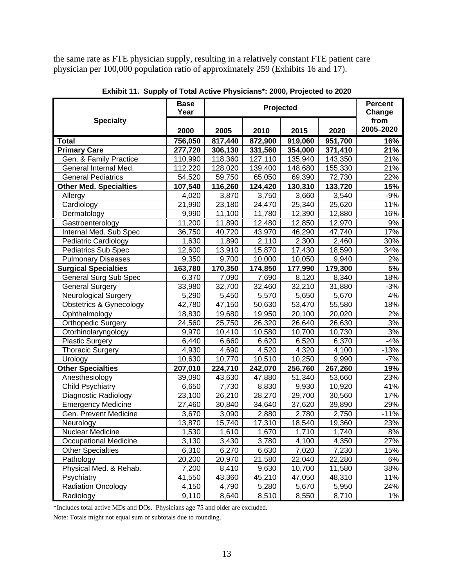the same rate as FTE physician supply, resulting in a relatively constant FTE patient care physician per 100,000 population ratio of approximately 259 (Exhibits 16 and 17).

|                                    | <b>Base</b><br>Year |         | Projected            |         |         |                   |  |
|------------------------------------|---------------------|---------|----------------------|---------|---------|-------------------|--|
| <b>Specialty</b>                   | 2000                | 2005    | 2015<br>2020<br>2010 |         |         | from<br>2005-2020 |  |
| <b>Total</b>                       | 756,050             | 817,440 | 872,900              | 919,060 | 951,700 | 16%               |  |
| <b>Primary Care</b>                | 277,720             | 306,130 | 331,560              | 354,000 | 371,410 | 21%               |  |
| Gen. & Family Practice             | 110,990             | 118,360 | 127,110              | 135,940 | 143,350 | 21%               |  |
| General Internal Med.              | 112,220             | 128,020 | 139,400              | 148,680 | 155,330 | 21%               |  |
| <b>General Pediatrics</b>          | 54,520              | 59,750  | 65,050               | 69,390  | 72,730  | 22%               |  |
| Other Med. Specialties             | 107,540             | 116,260 | 124,420              | 130,310 | 133,720 | 15%               |  |
| Allergy                            | 4,020               | 3,870   | 3,750                | 3,660   | 3,540   | $-9%$             |  |
| Cardiology                         | $\overline{2}1,990$ | 23,180  | 24,470               | 25,340  | 25,620  | 11%               |  |
| Dermatology                        | 9,990               | 11,100  | 11,780               | 12,390  | 12,880  | 16%               |  |
| Gastroenterology                   | 11,200              | 11,890  | 12,480               | 12,850  | 12,970  | 9%                |  |
| Internal Med. Sub Spec             | 36,750              | 40,720  | 43,970               | 46,290  | 47,740  | 17%               |  |
| <b>Pediatric Cardiology</b>        | 1,630               | 1,890   | 2,110                | 2,300   | 2,460   | 30%               |  |
| <b>Pediatrics Sub Spec</b>         | 12,600              | 13,910  | 15,870               | 17,430  | 18,590  | 34%               |  |
| <b>Pulmonary Diseases</b>          | 9,350               | 9,700   | 10,000               | 10,050  | 9,940   | 2%                |  |
| <b>Surgical Specialties</b>        | 163,780             | 170,350 | 174,850              | 177,990 | 179,300 | 5%                |  |
| General Surg Sub Spec              | 6,370               | 7,090   | 7,690                | 8,120   | 8,340   | 18%               |  |
| <b>General Surgery</b>             | 33,980              | 32,700  | 32,460               | 32,210  | 31,880  | $-3%$             |  |
| <b>Neurological Surgery</b>        | 5,290               | 5,450   | 5,570                | 5,650   | 5,670   | 4%                |  |
| <b>Obstetrics &amp; Gynecology</b> | 42,780              | 47,150  | 50,630               | 53,470  | 55,580  | 18%               |  |
| Ophthalmology                      | 18,830              | 19,680  | 19,950               | 20,100  | 20,020  | 2%                |  |
| Orthopedic Surgery                 | 24,560              | 25,750  | 26,320               | 26,640  | 26,630  | 3%                |  |
| Otorhinolaryngology                | 9,970               | 10,410  | 10,580               | 10,700  | 10,730  | $3%$              |  |
| <b>Plastic Surgery</b>             | 6,440               | 6,660   | 6,620                | 6,520   | 6,370   | $-4%$             |  |
| <b>Thoracic Surgery</b>            | 4,930               | 4,690   | 4,520                | 4,320   | 4,100   | $-13%$            |  |
| Urology                            | 10,630              | 10,770  | 10,510               | 10,250  | 9,990   | $-7%$             |  |
| <b>Other Specialties</b>           | 207,010             | 224,710 | 242,070              | 256,760 | 267,260 | 19%               |  |
| Anesthesiology                     | 39,090              | 43,630  | 47,880               | 51,340  | 53,660  | 23%               |  |
| <b>Child Psychiatry</b>            | 6,650               | 7,730   | 8,830                | 9,930   | 10,920  | 41%               |  |
| Diagnostic Radiology               | 23,100              | 26,210  | 28,270               | 29,700  | 30,560  | 17%               |  |
| <b>Emergency Medicine</b>          | 27,460              | 30,840  | 34,640               | 37,620  | 39,890  | 29%               |  |
| Gen. Prevent Medicine              | 3,670               | 3,090   | 2,880                | 2,780   | 2,750   | $-11%$            |  |
| Neurology                          | 13,870              | 15,740  | 17,310               | 18,540  | 19,360  | 23%               |  |
| <b>Nuclear Medicine</b>            | 1,530               | 1,610   | 1,670                | 1,710   | 1,740   | 8%                |  |
| <b>Occupational Medicine</b>       | 3,130               | 3,430   | 3,780                | 4,100   | 4,350   | 27%               |  |
| <b>Other Specialties</b>           | 6,310               | 6,270   | 6,630                | 7,020   | 7,230   | 15%               |  |
| Pathology                          | 20,200              | 20,970  | 21,580               | 22,040  | 22,280  | 6%                |  |
| Physical Med. & Rehab.             | 7,200               | 8,410   | 9,630                | 10,700  | 11,580  | 38%               |  |
| Psychiatry                         | 41,550              | 43,360  | 45,210               | 47,050  | 48,310  | 11%               |  |
| <b>Radiation Oncology</b>          | 4,150               | 4,790   | 5,280                | 5,670   | 5,950   | 24%               |  |
| Radiology                          | 9,110               | 8,640   | 8,510                | 8,550   | 8,710   | 1%                |  |

**Exhibit 11. Supply of Total Active Physicians\*: 2000, Projected to 2020** 

\*Includes total active MDs and DOs. Physicians age 75 and older are excluded.

Note: Totals might not equal sum of subtotals due to rounding.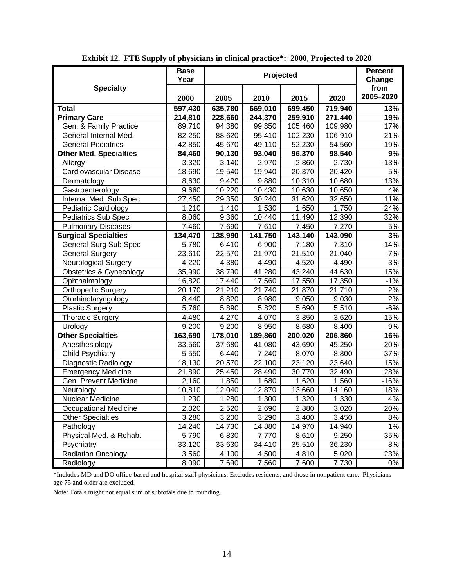|                                    | <b>Base</b><br>Year |         | Projected          |         |         | <b>Percent</b><br>Change |
|------------------------------------|---------------------|---------|--------------------|---------|---------|--------------------------|
| <b>Specialty</b>                   | 2000                | 2005    | 2010               | 2015    | 2020    | from<br>2005-2020        |
| <b>Total</b>                       | 597,430             | 635,780 | 669,010            | 699,450 | 719,940 | 13%                      |
| <b>Primary Care</b>                | 214,810             | 228,660 | 244,370            | 259,910 | 271,440 | 19%                      |
| Gen. & Family Practice             | 89,710              | 94,380  | 99,850             | 105,460 | 109,980 | $\overline{17}\%$        |
| General Internal Med.              | 82,250              | 88,620  | 95,410             | 102,230 | 106,910 | 21%                      |
| <b>General Pediatrics</b>          | 42,850              | 45,670  | 49,110             | 52,230  | 54,560  | 19%                      |
| <b>Other Med. Specialties</b>      | 84,460              | 90,130  | 93,040             | 96,370  | 98,540  | 9%                       |
| Allergy                            | 3,320               | 3,140   | 2,970              | 2,860   | 2,730   | $-13%$                   |
| <b>Cardiovascular Disease</b>      | 18,690              | 19,540  | 19,940             | 20,370  | 20,420  | 5%                       |
| Dermatology                        | 8,630               | 9,420   | 9,880              | 10,310  | 10,680  | 13%                      |
| Gastroenterology                   | 9,660               | 10,220  | 10,430             | 10,630  | 10,650  | 4%                       |
| Internal Med. Sub Spec             | 27,450              | 29,350  | 30,240             | 31,620  | 32,650  | 11%                      |
| <b>Pediatric Cardiology</b>        | 1,210               | 1,410   | 1,530              | 1,650   | 1,750   | 24%                      |
| Pediatrics Sub Spec                | 8,060               | 9,360   | 10,440             | 11,490  | 12,390  | 32%                      |
| <b>Pulmonary Diseases</b>          | 7,460               | 7,690   | 7,610              | 7,450   | 7,270   | $-5%$                    |
| <b>Surgical Specialties</b>        | 134,470             | 138,990 | 141,750            | 143,140 | 143,090 | 3%                       |
| <b>General Surg Sub Spec</b>       | 5,780               | 6,410   | 6,900              | 7,180   | 7,310   | 14%                      |
| <b>General Surgery</b>             | 23,610              | 22,570  | 21,970             | 21,510  | 21,040  | $-7%$                    |
| <b>Neurological Surgery</b>        | 4,220               | 4,380   | 4,490              | 4,520   | 4,490   | 3%                       |
| <b>Obstetrics &amp; Gynecology</b> | 35,990              | 38,790  | 41,280             | 43,240  | 44,630  | 15%                      |
| Ophthalmology                      | 16,820              | 17,440  | 17,560             | 17,550  | 17,350  | $-1%$                    |
| <b>Orthopedic Surgery</b>          | 20,170              | 21,210  | 21,740             | 21,870  | 21,710  | 2%                       |
| Otorhinolaryngology                | 8,440               | 8,820   | 8,980              | 9,050   | 9,030   | 2%                       |
| <b>Plastic Surgery</b>             | 5,760               | 5,890   | $\overline{5,820}$ | 5,690   | 5,510   | $-6%$                    |
| <b>Thoracic Surgery</b>            | 4,480               | 4,270   | 4,070              | 3,850   | 3,620   | $-15%$                   |
| Urology                            | 9,200               | 9,200   | 8,950              | 8,680   | 8,400   | $-9%$                    |
| <b>Other Specialties</b>           | 163,690             | 178,010 | 189,860            | 200,020 | 206,860 | 16%                      |
| Anesthesiology                     | 33,560              | 37,680  | 41,080             | 43,690  | 45,250  | 20%                      |
| <b>Child Psychiatry</b>            | 5,550               | 6,440   | 7,240              | 8,070   | 8,800   | 37%                      |
| Diagnostic Radiology               | 18,130              | 20,570  | 22,100             | 23,120  | 23,640  | 15%                      |
| <b>Emergency Medicine</b>          | 21,890              | 25,450  | 28,490             | 30,770  | 32,490  | 28%                      |
| Gen. Prevent Medicine              | 2,160               | 1,850   | 1,680              | 1,620   | 1,560   | -16%                     |
| Neurology                          | 10,810              | 12,040  | 12,870             | 13,660  | 14,160  | 18%                      |
| Nuclear Medicine                   | 1,230               | 1,280   | 1,300              | 1,320   | 1,330   | 4%                       |
| <b>Occupational Medicine</b>       | 2,320               | 2,520   | 2,690              | 2,880   | 3,020   | 20%                      |
| <b>Other Specialties</b>           | 3,280               | 3,200   | 3,290              | 3,400   | 3,450   | 8%                       |
| Pathology                          | 14,240              | 14,730  | 14,880             | 14,970  | 14,940  | 1%                       |
| Physical Med. & Rehab.             | 5,790               | 6,830   | 7,770              | 8,610   | 9,250   | 35%                      |
| Psychiatry                         | 33,120              | 33,630  | 34,410             | 35,510  | 36,230  | 8%                       |
| <b>Radiation Oncology</b>          | 3,560               | 4,100   | 4,500              | 4,810   | 5,020   | 23%                      |
| Radiology                          | 8,090               | 7,690   | 7,560              | 7,600   | 7,730   | 0%                       |

**Exhibit 12. FTE Supply of physicians in clinical practice\*: 2000, Projected to 2020** 

\*Includes MD and DO office-based and hospital staff physicians. Excludes residents, and those in nonpatient care. Physicians age 75 and older are excluded.

Note: Totals might not equal sum of subtotals due to rounding.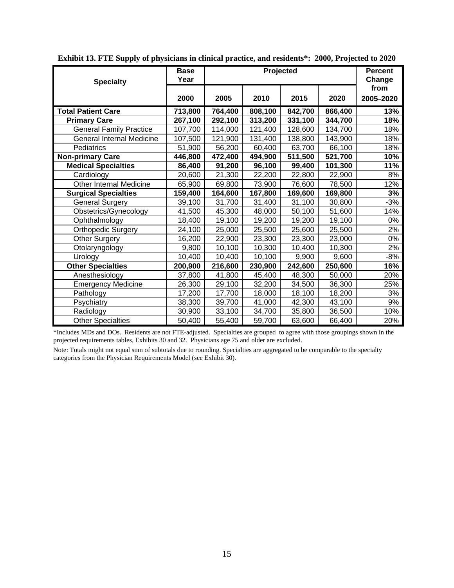| <b>Specialty</b>                 | <b>Base</b><br>Year |         | Projected |         |         |           |
|----------------------------------|---------------------|---------|-----------|---------|---------|-----------|
|                                  |                     |         |           |         |         | from      |
|                                  | 2000                | 2005    | 2010      | 2015    | 2020    | 2005-2020 |
| <b>Total Patient Care</b>        | 713,800             | 764,400 | 808,100   | 842,700 | 866,400 | 13%       |
| <b>Primary Care</b>              | 267,100             | 292,100 | 313,200   | 331,100 | 344,700 | 18%       |
| <b>General Family Practice</b>   | 107,700             | 114,000 | 121,400   | 128,600 | 134,700 | 18%       |
| <b>General Internal Medicine</b> | 107,500             | 121,900 | 131,400   | 138,800 | 143,900 | 18%       |
| Pediatrics                       | 51,900              | 56,200  | 60,400    | 63,700  | 66,100  | 18%       |
| <b>Non-primary Care</b>          | 446,800             | 472,400 | 494,900   | 511,500 | 521,700 | 10%       |
| <b>Medical Specialties</b>       | 86,400              | 91,200  | 96,100    | 99,400  | 101,300 | 11%       |
| Cardiology                       | 20,600              | 21,300  | 22,200    | 22,800  | 22,900  | 8%        |
| <b>Other Internal Medicine</b>   | 65,900              | 69,800  | 73,900    | 76,600  | 78,500  | 12%       |
| <b>Surgical Specialties</b>      | 159,400             | 164,600 | 167,800   | 169,600 | 169,800 | 3%        |
| <b>General Surgery</b>           | 39,100              | 31,700  | 31,400    | 31,100  | 30,800  | $-3%$     |
| Obstetrics/Gynecology            | 41,500              | 45,300  | 48,000    | 50,100  | 51,600  | 14%       |
| Ophthalmology                    | 18,400              | 19,100  | 19,200    | 19,200  | 19,100  | 0%        |
| <b>Orthopedic Surgery</b>        | 24,100              | 25,000  | 25,500    | 25,600  | 25,500  | 2%        |
| <b>Other Surgery</b>             | 16,200              | 22,900  | 23,300    | 23,300  | 23,000  | 0%        |
| Otolaryngology                   | 9,800               | 10,100  | 10,300    | 10,400  | 10,300  | 2%        |
| Urology                          | 10,400              | 10,400  | 10,100    | 9,900   | 9,600   | $-8%$     |
| <b>Other Specialties</b>         | 200,900             | 216,600 | 230,900   | 242,600 | 250,600 | 16%       |
| Anesthesiology                   | 37,800              | 41,800  | 45,400    | 48,300  | 50,000  | 20%       |
| <b>Emergency Medicine</b>        | 26,300              | 29,100  | 32,200    | 34,500  | 36,300  | 25%       |
| Pathology                        | 17,200              | 17,700  | 18,000    | 18,100  | 18,200  | 3%        |
| Psychiatry                       | 38,300              | 39,700  | 41,000    | 42,300  | 43,100  | 9%        |
| Radiology                        | 30,900              | 33,100  | 34,700    | 35,800  | 36,500  | 10%       |
| <b>Other Specialties</b>         | 50,400              | 55,400  | 59,700    | 63,600  | 66,400  | 20%       |

**Exhibit 13. FTE Supply of physicians in clinical practice, and residents\*: 2000, Projected to 2020** 

\*Includes MDs and DOs. Residents are not FTE-adjusted. Specialties are grouped to agree with those groupings shown in the projected requirements tables, Exhibits 30 and 32. Physicians age 75 and older are excluded.

Note: Totals might not equal sum of subtotals due to rounding. Specialties are aggregated to be comparable to the specialty categories from the Physician Requirements Model (see Exhibit 30).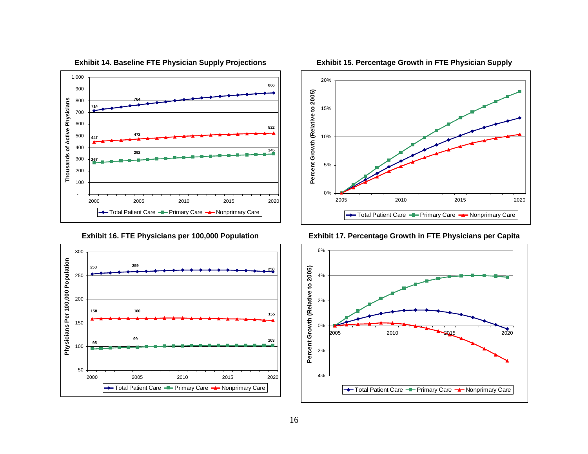

**Exhibit 16. FTE Physicians per 100,000 Population** 





**Exhibit 15. Percentage Growth in FTE Physician Supply** 

**Exhibit 17. Percentage Growth in FTE Physicians per Capita** 

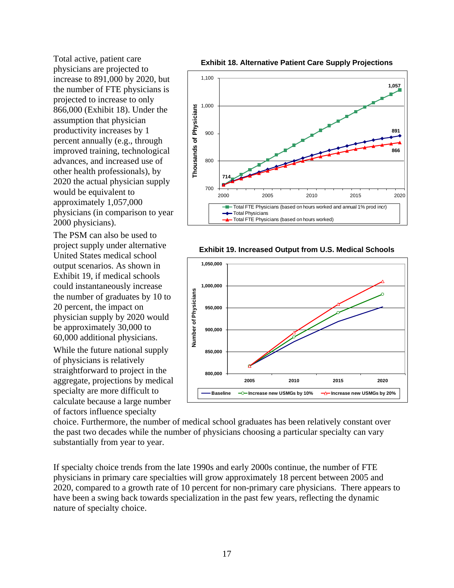Total active, patient care physicians are projected to increase to 891,000 by 2020, but the number of FTE physicians is projected to increase to only 866,000 (Exhibit 18). Under the assumption that physician productivity increases by 1 percent annually (e.g., through improved training, technological advances, and increased use of other health professionals), by 2020 the actual physician supply would be equivalent to approximately 1,057,000 physicians (in comparison to year 2000 physicians).

The PSM can also be used to project supply under alternative United States medical school output scenarios. As shown in Exhibit 19, if medical schools could instantaneously increase the number of graduates by 10 to 20 percent, the impact on physician supply by 2020 would be approximately 30,000 to 60,000 additional physicians.

While the future national supply of physicians is relatively straightforward to project in the aggregate, projections by medical specialty are more difficult to calculate because a large number of factors influence specialty





**Exhibit 19. Increased Output from U.S. Medical Schools** 



choice. Furthermore, the number of medical school graduates has been relatively constant over the past two decades while the number of physicians choosing a particular specialty can vary substantially from year to year.

If specialty choice trends from the late 1990s and early 2000s continue, the number of FTE physicians in primary care specialties will grow approximately 18 percent between 2005 and 2020, compared to a growth rate of 10 percent for non-primary care physicians. There appears to have been a swing back towards specialization in the past few years, reflecting the dynamic nature of specialty choice.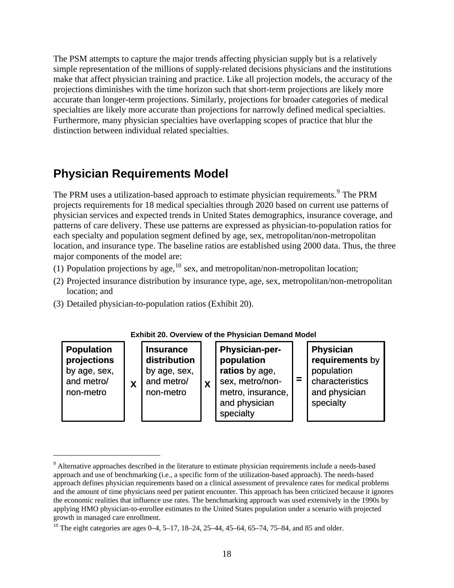<span id="page-17-0"></span>The PSM attempts to capture the major trends affecting physician supply but is a relatively simple representation of the millions of supply-related decisions physicians and the institutions make that affect physician training and practice. Like all projection models, the accuracy of the projections diminishes with the time horizon such that short-term projections are likely more accurate than longer-term projections. Similarly, projections for broader categories of medical specialties are likely more accurate than projections for narrowly defined medical specialties. Furthermore, many physician specialties have overlapping scopes of practice that blur the distinction between individual related specialties.

## **Physician Requirements Model**

The PRM uses a utilization-based approach to estimate physician requirements. <sup>[9](#page-17-0)</sup> The PRM projects requirements for 18 medical specialties through 2020 based on current use patterns of physician services and expected trends in United States demographics, insurance coverage, and patterns of care delivery. These use patterns are expressed as physician-to-population ratios for each specialty and population segment defined by age, sex, metropolitan/non-metropolitan location, and insurance type. The baseline ratios are established using 2000 data. Thus, the three major components of the model are:

- (1) Population projections by age,  $^{10}$  $^{10}$  $^{10}$  sex, and metropolitan/non-metropolitan location;
- (2) Projected insurance distribution by insurance type, age, sex, metropolitan/non-metropolitan location; and
- (3) Detailed physician-to-population ratios (Exhibit 20).

 $\overline{a}$ 



<sup>&</sup>lt;sup>9</sup> Alternative approaches described in the literature to estimate physician requirements include a needs-based approach and use of benchmarking (i.e., a specific form of the utilization-based approach). The needs-based approach defines physician requirements based on a clinical assessment of prevalence rates for medical problems and the amount of time physicians need per patient encounter. This approach has been criticized because it ignores the economic realities that influence use rates. The benchmarking approach was used extensively in the 1990s by applying HMO physician-to-enrollee estimates to the United States population under a scenario with projected growth in managed care enrollment.

<sup>&</sup>lt;sup>10</sup> The eight categories are ages  $0-4$ ,  $5-17$ ,  $18-24$ ,  $25-44$ ,  $45-64$ ,  $65-74$ ,  $75-84$ , and 85 and older.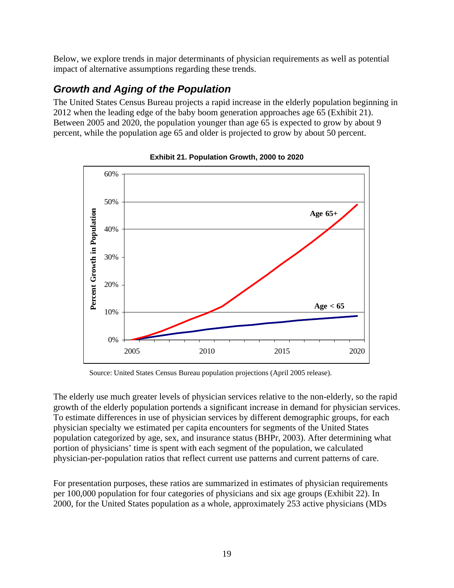Below, we explore trends in major determinants of physician requirements as well as potential impact of alternative assumptions regarding these trends.

## *Growth and Aging of the Population*

The United States Census Bureau projects a rapid increase in the elderly population beginning in 2012 when the leading edge of the baby boom generation approaches age 65 (Exhibit 21). Between 2005 and 2020, the population younger than age 65 is expected to grow by about 9 percent, while the population age 65 and older is projected to grow by about 50 percent.



**Exhibit 21. Population Growth, 2000 to 2020** 

Source: United States Census Bureau population projections (April 2005 release).

The elderly use much greater levels of physician services relative to the non-elderly, so the rapid growth of the elderly population portends a significant increase in demand for physician services. To estimate differences in use of physician services by different demographic groups, for each physician specialty we estimated per capita encounters for segments of the United States population categorized by age, sex, and insurance status (BHPr, 2003). After determining what portion of physicians' time is spent with each segment of the population, we calculated physician-per-population ratios that reflect current use patterns and current patterns of care.

For presentation purposes, these ratios are summarized in estimates of physician requirements per 100,000 population for four categories of physicians and six age groups (Exhibit 22). In 2000, for the United States population as a whole, approximately 253 active physicians (MDs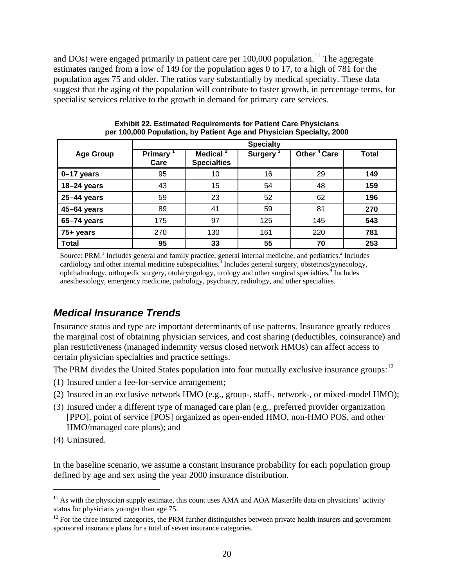<span id="page-19-0"></span>and DOs) were engaged primarily in patient care per  $100,000$  population.<sup>[11](#page-19-0)</sup> The aggregate estimates ranged from a low of 149 for the population ages 0 to 17, to a high of 781 for the population ages 75 and older. The ratios vary substantially by medical specialty. These data suggest that the aging of the population will contribute to faster growth, in percentage terms, for specialist services relative to the growth in demand for primary care services.

|                  | <b>Specialty</b>       |                                            |                |                         |              |  |  |
|------------------|------------------------|--------------------------------------------|----------------|-------------------------|--------------|--|--|
| <b>Age Group</b> | <b>Primary</b><br>Care | Medical <sup>2</sup><br><b>Specialties</b> | <b>Surgery</b> | Other <sup>4</sup> Care | <b>Total</b> |  |  |
| 0-17 years       | 95                     | 10                                         | 16             | 29                      | 149          |  |  |
| 18-24 years      | 43                     | 15                                         | 54             | 48                      | 159          |  |  |
| 25-44 years      | 59                     | 23                                         | 52             | 62                      | 196          |  |  |
| 45-64 years      | 89                     | 41                                         | 59             | 81                      | 270          |  |  |
| 65-74 years      | 175                    | 97                                         | 125            | 145                     | 543          |  |  |
| 75+ years        | 270                    | 130                                        | 161            | 220                     | 781          |  |  |
| <b>Total</b>     | 95                     | 33                                         | 55             | 70                      | 253          |  |  |

**Exhibit 22. Estimated Requirements for Patient Care Physicians per 100,000 Population, by Patient Age and Physician Specialty, 2000** 

Source: PRM.<sup>1</sup> Includes general and family practice, general internal medicine, and pediatrics.<sup>2</sup> Includes cardiology and other internal medicine subspecialties.<sup>3</sup> Includes general surgery, obstetrics/gynecology, ophthalmology, orthopedic surgery, otolaryngology, urology and other surgical specialties.<sup>4</sup> Includes anesthesiology, emergency medicine, pathology, psychiatry, radiology, and other specialties.

#### *Medical Insurance Trends*

Insurance status and type are important determinants of use patterns. Insurance greatly reduces the marginal cost of obtaining physician services, and cost sharing (deductibles, coinsurance) and plan restrictiveness (managed indemnity versus closed network HMOs) can affect access to certain physician specialties and practice settings.

The PRM divides the United States population into four mutually exclusive insurance groups:  $12$ 

- (1) Insured under a fee-for-service arrangement;
- (2) Insured in an exclusive network HMO (e.g., group-, staff-, network-, or mixed-model HMO);
- (3) Insured under a different type of managed care plan (e.g., preferred provider organization [PPO], point of service [POS] organized as open-ended HMO, non-HMO POS, and other HMO/managed care plans); and
- (4) Uninsured.

 $\overline{a}$ 

In the baseline scenario, we assume a constant insurance probability for each population group defined by age and sex using the year 2000 insurance distribution.

 $11$  As with the physician supply estimate, this count uses AMA and AOA Masterfile data on physicians' activity status for physicians younger than age 75.

 $12$  For the three insured categories, the PRM further distinguishes between private health insurers and governmentsponsored insurance plans for a total of seven insurance categories.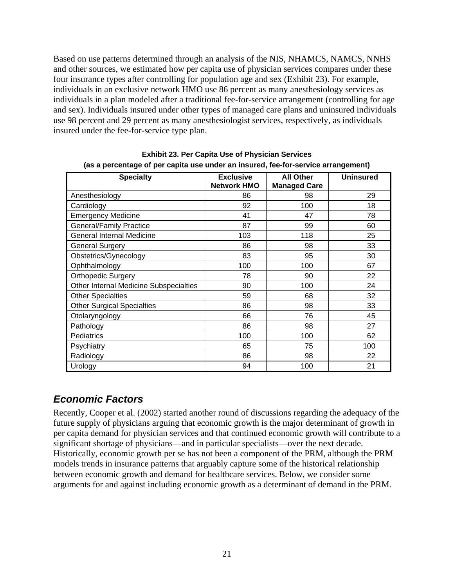Based on use patterns determined through an analysis of the NIS, NHAMCS, NAMCS, NNHS and other sources, we estimated how per capita use of physician services compares under these four insurance types after controlling for population age and sex (Exhibit 23). For example, individuals in an exclusive network HMO use 86 percent as many anesthesiology services as individuals in a plan modeled after a traditional fee-for-service arrangement (controlling for age and sex). Individuals insured under other types of managed care plans and uninsured individuals use 98 percent and 29 percent as many anesthesiologist services, respectively, as individuals insured under the fee-for-service type plan.

| <b>Specialty</b>                       | <b>Exclusive</b>   | <b>All Other</b>    | <b>Uninsured</b> |  |  |  |  |
|----------------------------------------|--------------------|---------------------|------------------|--|--|--|--|
|                                        | <b>Network HMO</b> | <b>Managed Care</b> |                  |  |  |  |  |
| Anesthesiology                         | 86                 | 98                  | 29               |  |  |  |  |
| Cardiology                             | 92                 | 100                 | 18               |  |  |  |  |
| <b>Emergency Medicine</b>              | 41                 | 47                  | 78               |  |  |  |  |
| <b>General/Family Practice</b>         | 87                 | 99                  | 60               |  |  |  |  |
| <b>General Internal Medicine</b>       | 103                | 118                 | 25               |  |  |  |  |
| <b>General Surgery</b>                 | 86                 | 98                  | 33               |  |  |  |  |
| Obstetrics/Gynecology                  | 83                 | 95                  | 30               |  |  |  |  |
| Ophthalmology                          | 100                | 100                 | 67               |  |  |  |  |
| <b>Orthopedic Surgery</b>              | 78                 | 90                  | 22               |  |  |  |  |
| Other Internal Medicine Subspecialties | 90                 | 100                 | 24               |  |  |  |  |
| <b>Other Specialties</b>               | 59                 | 68                  | 32               |  |  |  |  |
| <b>Other Surgical Specialties</b>      | 86                 | 98                  | 33               |  |  |  |  |
| Otolaryngology                         | 66                 | 76                  | 45               |  |  |  |  |
| Pathology                              | 86                 | 98                  | 27               |  |  |  |  |
| Pediatrics                             | 100                | 100                 | 62               |  |  |  |  |
| Psychiatry                             | 65                 | 75                  | 100              |  |  |  |  |
| Radiology                              | 86                 | 98                  | 22               |  |  |  |  |
| Urology                                | 94                 | 100                 | 21               |  |  |  |  |

**Exhibit 23. Per Capita Use of Physician Services (as a percentage of per capita use under an insured, fee-for-service arrangement)** 

## *Economic Factors*

Recently, Cooper et al. (2002) started another round of discussions regarding the adequacy of the future supply of physicians arguing that economic growth is the major determinant of growth in per capita demand for physician services and that continued economic growth will contribute to a significant shortage of physicians—and in particular specialists—over the next decade. Historically, economic growth per se has not been a component of the PRM, although the PRM models trends in insurance patterns that arguably capture some of the historical relationship between economic growth and demand for healthcare services. Below, we consider some arguments for and against including economic growth as a determinant of demand in the PRM.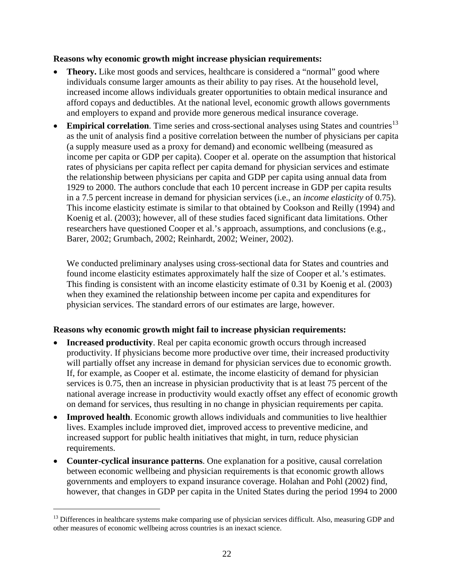#### <span id="page-21-0"></span>**Reasons why economic growth might increase physician requirements:**

- **Theory.** Like most goods and services, healthcare is considered a "normal" good where individuals consume larger amounts as their ability to pay rises. At the household level, increased income allows individuals greater opportunities to obtain medical insurance and afford copays and deductibles. At the national level, economic growth allows governments and employers to expand and provide more generous medical insurance coverage.
- **Empirical correlation**. Time series and cross-sectional analyses using States and countries<sup>[13](#page-21-0)</sup> as the unit of analysis find a positive correlation between the number of physicians per capita (a supply measure used as a proxy for demand) and economic wellbeing (measured as income per capita or GDP per capita). Cooper et al. operate on the assumption that historical rates of physicians per capita reflect per capita demand for physician services and estimate the relationship between physicians per capita and GDP per capita using annual data from 1929 to 2000. The authors conclude that each 10 percent increase in GDP per capita results in a 7.5 percent increase in demand for physician services (i.e., an *income elasticity* of 0.75). This income elasticity estimate is similar to that obtained by Cookson and Reilly (1994) and Koenig et al. (2003); however, all of these studies faced significant data limitations. Other researchers have questioned Cooper et al.'s approach, assumptions, and conclusions (e.g., Barer, 2002; Grumbach, 2002; Reinhardt, 2002; Weiner, 2002).

We conducted preliminary analyses using cross-sectional data for States and countries and found income elasticity estimates approximately half the size of Cooper et al.'s estimates. This finding is consistent with an income elasticity estimate of 0.31 by Koenig et al. (2003) when they examined the relationship between income per capita and expenditures for physician services. The standard errors of our estimates are large, however.

#### **Reasons why economic growth might fail to increase physician requirements:**

- **Increased productivity**. Real per capita economic growth occurs through increased productivity. If physicians become more productive over time, their increased productivity will partially offset any increase in demand for physician services due to economic growth. If, for example, as Cooper et al. estimate, the income elasticity of demand for physician services is 0.75, then an increase in physician productivity that is at least 75 percent of the national average increase in productivity would exactly offset any effect of economic growth on demand for services, thus resulting in no change in physician requirements per capita.
- **Improved health**. Economic growth allows individuals and communities to live healthier lives. Examples include improved diet, improved access to preventive medicine, and increased support for public health initiatives that might, in turn, reduce physician requirements.
- **Counter-cyclical insurance patterns**. One explanation for a positive, causal correlation between economic wellbeing and physician requirements is that economic growth allows governments and employers to expand insurance coverage. Holahan and Pohl (2002) find, however, that changes in GDP per capita in the United States during the period 1994 to 2000

 $\overline{a}$ 

<sup>&</sup>lt;sup>13</sup> Differences in healthcare systems make comparing use of physician services difficult. Also, measuring GDP and other measures of economic wellbeing across countries is an inexact science.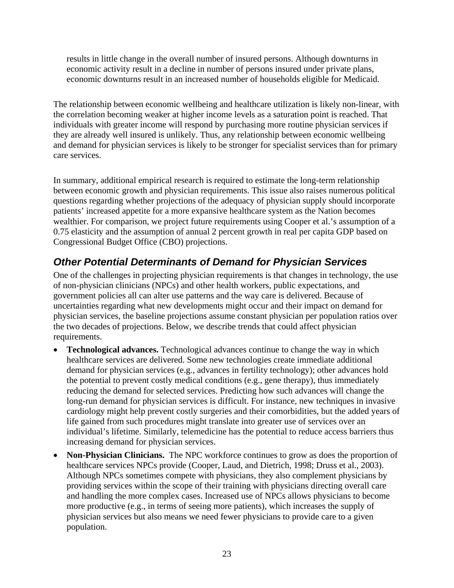results in little change in the overall number of insured persons. Although downturns in economic activity result in a decline in number of persons insured under private plans, economic downturns result in an increased number of households eligible for Medicaid.

The relationship between economic wellbeing and healthcare utilization is likely non-linear, with the correlation becoming weaker at higher income levels as a saturation point is reached. That individuals with greater income will respond by purchasing more routine physician services if they are already well insured is unlikely. Thus, any relationship between economic wellbeing and demand for physician services is likely to be stronger for specialist services than for primary care services.

In summary, additional empirical research is required to estimate the long-term relationship between economic growth and physician requirements. This issue also raises numerous political questions regarding whether projections of the adequacy of physician supply should incorporate patients' increased appetite for a more expansive healthcare system as the Nation becomes wealthier. For comparison, we project future requirements using Cooper et al.'s assumption of a 0.75 elasticity and the assumption of annual 2 percent growth in real per capita GDP based on Congressional Budget Office (CBO) projections.

## *Other Potential Determinants of Demand for Physician Services*

One of the challenges in projecting physician requirements is that changes in technology, the use of non-physician clinicians (NPCs) and other health workers, public expectations, and government policies all can alter use patterns and the way care is delivered. Because of uncertainties regarding what new developments might occur and their impact on demand for physician services, the baseline projections assume constant physician per population ratios over the two decades of projections. Below, we describe trends that could affect physician requirements.

- **Technological advances.** Technological advances continue to change the way in which healthcare services are delivered. Some new technologies create immediate additional demand for physician services (e.g., advances in fertility technology); other advances hold the potential to prevent costly medical conditions (e.g., gene therapy), thus immediately reducing the demand for selected services. Predicting how such advances will change the long-run demand for physician services is difficult. For instance, new techniques in invasive cardiology might help prevent costly surgeries and their comorbidities, but the added years of life gained from such procedures might translate into greater use of services over an individual's lifetime. Similarly, telemedicine has the potential to reduce access barriers thus increasing demand for physician services.
- **Non-Physician Clinicians.** The NPC workforce continues to grow as does the proportion of healthcare services NPCs provide (Cooper, Laud, and Dietrich, 1998; Druss et al., 2003). Although NPCs sometimes compete with physicians, they also complement physicians by providing services within the scope of their training with physicians directing overall care and handling the more complex cases. Increased use of NPCs allows physicians to become more productive (e.g., in terms of seeing more patients), which increases the supply of physician services but also means we need fewer physicians to provide care to a given population.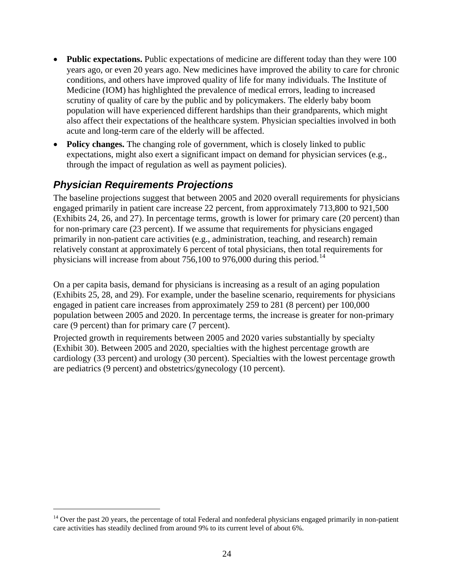- <span id="page-23-0"></span>• **Public expectations.** Public expectations of medicine are different today than they were 100 years ago, or even 20 years ago. New medicines have improved the ability to care for chronic conditions, and others have improved quality of life for many individuals. The Institute of Medicine (IOM) has highlighted the prevalence of medical errors, leading to increased scrutiny of quality of care by the public and by policymakers. The elderly baby boom population will have experienced different hardships than their grandparents, which might also affect their expectations of the healthcare system. Physician specialties involved in both acute and long-term care of the elderly will be affected.
- **Policy changes.** The changing role of government, which is closely linked to public expectations, might also exert a significant impact on demand for physician services (e.g., through the impact of regulation as well as payment policies).

## *Physician Requirements Projections*

 $\overline{a}$ 

The baseline projections suggest that between 2005 and 2020 overall requirements for physicians engaged primarily in patient care increase 22 percent, from approximately 713,800 to 921,500 (Exhibits 24, 26, and 27). In percentage terms, growth is lower for primary care (20 percent) than for non-primary care (23 percent). If we assume that requirements for physicians engaged primarily in non-patient care activities (e.g., administration, teaching, and research) remain relatively constant at approximately 6 percent of total physicians, then total requirements for physicians will increase from about 756,100 to 976,000 during this period.<sup>[14](#page-23-0)</sup>

On a per capita basis, demand for physicians is increasing as a result of an aging population (Exhibits 25, 28, and 29). For example, under the baseline scenario, requirements for physicians engaged in patient care increases from approximately 259 to 281 (8 percent) per 100,000 population between 2005 and 2020. In percentage terms, the increase is greater for non-primary care (9 percent) than for primary care (7 percent).

Projected growth in requirements between 2005 and 2020 varies substantially by specialty (Exhibit 30). Between 2005 and 2020, specialties with the highest percentage growth are cardiology (33 percent) and urology (30 percent). Specialties with the lowest percentage growth are pediatrics (9 percent) and obstetrics/gynecology (10 percent).

 $<sup>14</sup>$  Over the past 20 years, the percentage of total Federal and nonfederal physicians engaged primarily in non-patient</sup> care activities has steadily declined from around 9% to its current level of about 6%.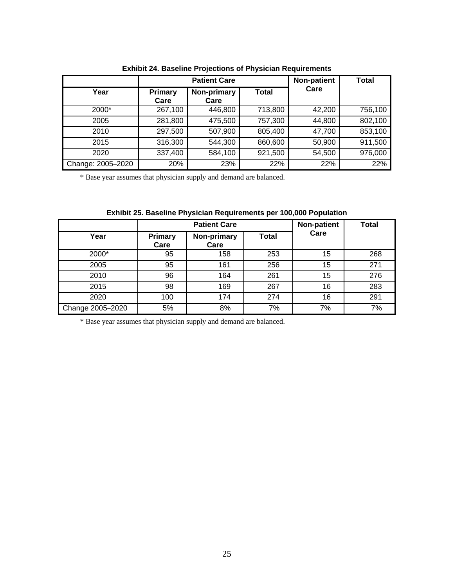|                   | <b>Patient Care</b> |                     |              | Non-patient | <b>Total</b> |
|-------------------|---------------------|---------------------|--------------|-------------|--------------|
| Year              | Primary<br>Care     | Non-primary<br>Care | <b>Total</b> | Care        |              |
| 2000*             | 267,100             | 446,800             | 713,800      | 42,200      | 756,100      |
| 2005              | 281,800             | 475,500             | 757,300      | 44,800      | 802,100      |
| 2010              | 297,500             | 507,900             | 805,400      | 47,700      | 853,100      |
| 2015              | 316,300             | 544,300             | 860,600      | 50,900      | 911,500      |
| 2020              | 337,400             | 584,100             | 921,500      | 54,500      | 976,000      |
| Change: 2005-2020 | 20%                 | 23%                 | 22%          | 22%         | 22%          |

|  |  |  |  | <b>Exhibit 24. Baseline Projections of Physician Requirements</b> |  |
|--|--|--|--|-------------------------------------------------------------------|--|
|--|--|--|--|-------------------------------------------------------------------|--|

\* Base year assumes that physician supply and demand are balanced.

| Exhibit 25. Baseline Physician Requirements per 100,000 Population |
|--------------------------------------------------------------------|
|--------------------------------------------------------------------|

|                  |                        | <b>Patient Care</b> | Non-patient  | <b>Total</b> |     |
|------------------|------------------------|---------------------|--------------|--------------|-----|
| Year             | <b>Primary</b><br>Care | Non-primary<br>Care | <b>Total</b> | Care         |     |
| 2000*            | 95                     | 158                 | 253          | 15           | 268 |
| 2005             | 95                     | 161                 | 256          | 15           | 271 |
| 2010             | 96                     | 164                 | 261          | 15           | 276 |
| 2015             | 98                     | 169                 | 267          | 16           | 283 |
| 2020             | 100                    | 174                 | 274          | 16           | 291 |
| Change 2005-2020 | 5%                     | 8%                  | 7%           | 7%           | 7%  |

\* Base year assumes that physician supply and demand are balanced.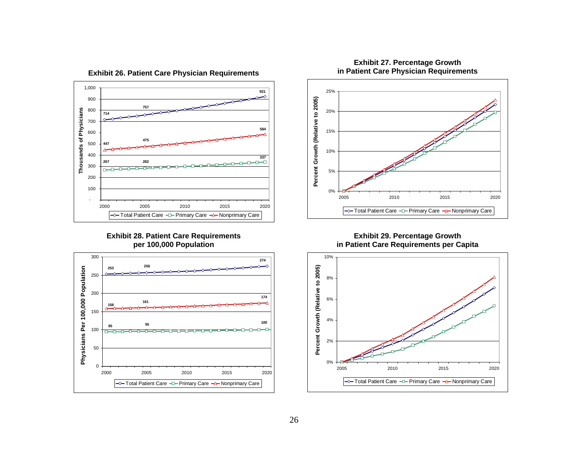

#### **Exhibit 26. Patient Care Physician Requirements**

**Exhibit 28. Patient Care Requirements per 100,000 Population** 





#### **Exhibit 27. Percentage Growth in Patient Care Physician Requirements**

**Exhibit 29. Percentage Growth in Patient Care Requirements per Capita** 

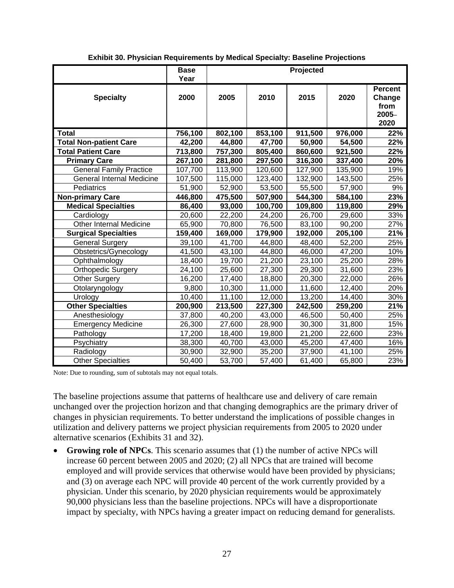|                                  | <b>Base</b><br>Year |         |         | Projected |         |                                                      |
|----------------------------------|---------------------|---------|---------|-----------|---------|------------------------------------------------------|
| <b>Specialty</b>                 | 2000                | 2005    | 2010    | 2015      | 2020    | <b>Percent</b><br>Change<br>from<br>$2005 -$<br>2020 |
| <b>Total</b>                     | 756,100             | 802,100 | 853,100 | 911,500   | 976,000 | 22%                                                  |
| <b>Total Non-patient Care</b>    | 42,200              | 44,800  | 47,700  | 50,900    | 54,500  | 22%                                                  |
| <b>Total Patient Care</b>        | 713,800             | 757,300 | 805,400 | 860,600   | 921,500 | 22%                                                  |
| <b>Primary Care</b>              | 267,100             | 281,800 | 297,500 | 316,300   | 337,400 | 20%                                                  |
| <b>General Family Practice</b>   | 107,700             | 113,900 | 120,600 | 127,900   | 135,900 | 19%                                                  |
| <b>General Internal Medicine</b> | 107,500             | 115,000 | 123,400 | 132,900   | 143,500 | 25%                                                  |
| Pediatrics                       | 51,900              | 52,900  | 53,500  | 55,500    | 57,900  | 9%                                                   |
| <b>Non-primary Care</b>          | 446,800             | 475,500 | 507,900 | 544,300   | 584,100 | 23%                                                  |
| <b>Medical Specialties</b>       | 86,400              | 93,000  | 100,700 | 109,800   | 119,800 | 29%                                                  |
| Cardiology                       | 20,600              | 22,200  | 24,200  | 26,700    | 29,600  | 33%                                                  |
| <b>Other Internal Medicine</b>   | 65,900              | 70,800  | 76,500  | 83,100    | 90,200  | 27%                                                  |
| <b>Surgical Specialties</b>      | 159,400             | 169,000 | 179,900 | 192,000   | 205,100 | 21%                                                  |
| <b>General Surgery</b>           | 39,100              | 41,700  | 44,800  | 48,400    | 52,200  | 25%                                                  |
| Obstetrics/Gynecology            | 41,500              | 43,100  | 44,800  | 46,000    | 47,200  | 10%                                                  |
| Ophthalmology                    | 18,400              | 19,700  | 21,200  | 23,100    | 25,200  | 28%                                                  |
| <b>Orthopedic Surgery</b>        | 24,100              | 25,600  | 27,300  | 29,300    | 31,600  | 23%                                                  |
| <b>Other Surgery</b>             | 16,200              | 17,400  | 18,800  | 20,300    | 22,000  | 26%                                                  |
| Otolaryngology                   | 9,800               | 10,300  | 11,000  | 11,600    | 12,400  | 20%                                                  |
| Urology                          | 10,400              | 11,100  | 12,000  | 13,200    | 14,400  | 30%                                                  |
| <b>Other Specialties</b>         | 200,900             | 213,500 | 227,300 | 242,500   | 259,200 | 21%                                                  |
| Anesthesiology                   | 37,800              | 40,200  | 43,000  | 46,500    | 50,400  | 25%                                                  |
| <b>Emergency Medicine</b>        | 26,300              | 27,600  | 28,900  | 30,300    | 31,800  | 15%                                                  |
| Pathology                        | 17,200              | 18,400  | 19,800  | 21,200    | 22,600  | 23%                                                  |
| Psychiatry                       | 38,300              | 40,700  | 43,000  | 45,200    | 47,400  | 16%                                                  |
| Radiology                        | 30,900              | 32,900  | 35,200  | 37,900    | 41,100  | 25%                                                  |
| <b>Other Specialties</b>         | 50,400              | 53,700  | 57,400  | 61,400    | 65,800  | 23%                                                  |

**Exhibit 30. Physician Requirements by Medical Specialty: Baseline Projections** 

Note: Due to rounding, sum of subtotals may not equal totals.

The baseline projections assume that patterns of healthcare use and delivery of care remain unchanged over the projection horizon and that changing demographics are the primary driver of changes in physician requirements. To better understand the implications of possible changes in utilization and delivery patterns we project physician requirements from 2005 to 2020 under alternative scenarios (Exhibits 31 and 32).

• **Growing role of NPCs**. This scenario assumes that (1) the number of active NPCs will increase 60 percent between 2005 and 2020; (2) all NPCs that are trained will become employed and will provide services that otherwise would have been provided by physicians; and (3) on average each NPC will provide 40 percent of the work currently provided by a physician. Under this scenario, by 2020 physician requirements would be approximately 90,000 physicians less than the baseline projections. NPCs will have a disproportionate impact by specialty, with NPCs having a greater impact on reducing demand for generalists.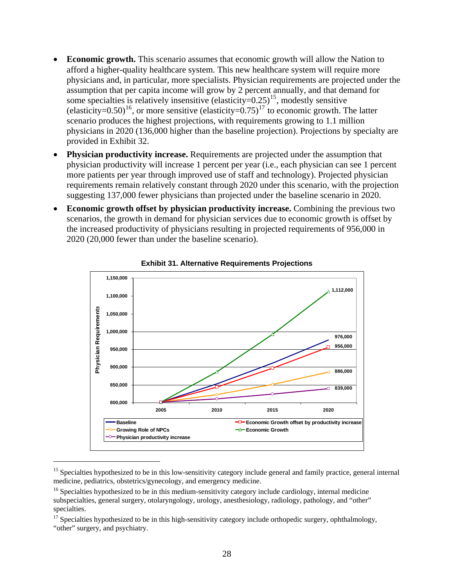- <span id="page-27-0"></span>**Economic growth.** This scenario assumes that economic growth will allow the Nation to afford a higher-quality healthcare system. This new healthcare system will require more physicians and, in particular, more specialists. Physician requirements are projected under the assumption that per capita income will grow by 2 percent annually, and that demand for some specialties is relatively insensitive (elasticity= $0.25$ )<sup>[15](#page-27-0)</sup>, modestly sensitive (elasticity=0.50)<sup>[16](#page-27-0)</sup>, or more sensitive (elasticity=0.75)<sup>[17](#page-27-0)</sup> to economic growth. The latter scenario produces the highest projections, with requirements growing to 1.1 million physicians in 2020 (136,000 higher than the baseline projection). Projections by specialty are provided in Exhibit 32.
- **Physician productivity increase.** Requirements are projected under the assumption that physician productivity will increase 1 percent per year (i.e., each physician can see 1 percent more patients per year through improved use of staff and technology). Projected physician requirements remain relatively constant through 2020 under this scenario, with the projection suggesting 137,000 fewer physicians than projected under the baseline scenario in 2020.
- **Economic growth offset by physician productivity increase.** Combining the previous two scenarios, the growth in demand for physician services due to economic growth is offset by the increased productivity of physicians resulting in projected requirements of 956,000 in 2020 (20,000 fewer than under the baseline scenario).





 $\overline{a}$ 

 $15$  Specialties hypothesized to be in this low-sensitivity category include general and family practice, general internal medicine, pediatrics, obstetrics/gynecology, and emergency medicine.

 $16$  Specialties hypothesized to be in this medium-sensitivity category include cardiology, internal medicine subspecialties, general surgery, otolaryngology, urology, anesthesiology, radiology, pathology, and "other" specialties.

<sup>&</sup>lt;sup>17</sup> Specialties hypothesized to be in this high-sensitivity category include orthopedic surgery, ophthalmology, "other" surgery, and psychiatry.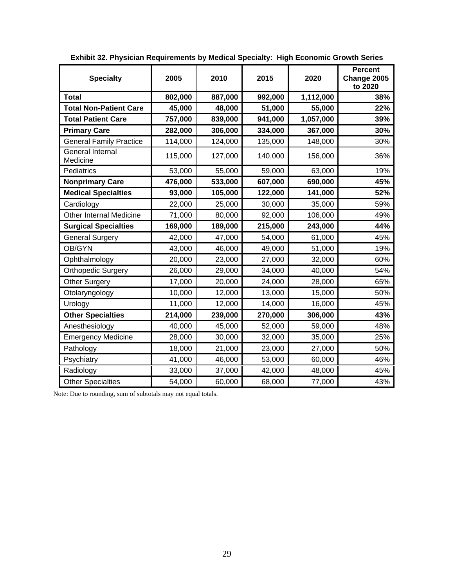| <b>Specialty</b>                    | 2005    | 2010    | 2015    | 2020      | <b>Percent</b><br>Change 2005<br>to 2020 |
|-------------------------------------|---------|---------|---------|-----------|------------------------------------------|
| <b>Total</b>                        | 802,000 | 887,000 | 992,000 | 1,112,000 | 38%                                      |
| <b>Total Non-Patient Care</b>       | 45,000  | 48,000  | 51,000  | 55,000    | 22%                                      |
| <b>Total Patient Care</b>           | 757,000 | 839,000 | 941,000 | 1,057,000 | 39%                                      |
| <b>Primary Care</b>                 | 282,000 | 306,000 | 334,000 | 367,000   | 30%                                      |
| <b>General Family Practice</b>      | 114,000 | 124,000 | 135,000 | 148,000   | 30%                                      |
| <b>General Internal</b><br>Medicine | 115,000 | 127,000 | 140,000 | 156,000   | 36%                                      |
| Pediatrics                          | 53,000  | 55,000  | 59,000  | 63,000    | 19%                                      |
| <b>Nonprimary Care</b>              | 476,000 | 533,000 | 607,000 | 690,000   | 45%                                      |
| <b>Medical Specialties</b>          | 93,000  | 105,000 | 122,000 | 141,000   | 52%                                      |
| Cardiology                          | 22,000  | 25,000  | 30,000  | 35,000    | 59%                                      |
| <b>Other Internal Medicine</b>      | 71,000  | 80,000  | 92,000  | 106,000   | 49%                                      |
| <b>Surgical Specialties</b>         | 169,000 | 189,000 | 215,000 | 243,000   | 44%                                      |
| <b>General Surgery</b>              | 42,000  | 47,000  | 54,000  | 61,000    | 45%                                      |
| OB/GYN                              | 43,000  | 46,000  | 49,000  | 51,000    | 19%                                      |
| Ophthalmology                       | 20,000  | 23,000  | 27,000  | 32,000    | 60%                                      |
| <b>Orthopedic Surgery</b>           | 26,000  | 29,000  | 34,000  | 40,000    | 54%                                      |
| Other Surgery                       | 17,000  | 20,000  | 24,000  | 28,000    | 65%                                      |
| Otolaryngology                      | 10,000  | 12,000  | 13,000  | 15,000    | 50%                                      |
| Urology                             | 11,000  | 12,000  | 14,000  | 16,000    | 45%                                      |
| <b>Other Specialties</b>            | 214,000 | 239,000 | 270,000 | 306,000   | 43%                                      |
| Anesthesiology                      | 40,000  | 45,000  | 52,000  | 59,000    | 48%                                      |
| <b>Emergency Medicine</b>           | 28,000  | 30,000  | 32,000  | 35,000    | 25%                                      |
| Pathology                           | 18,000  | 21,000  | 23,000  | 27,000    | 50%                                      |
| Psychiatry                          | 41,000  | 46,000  | 53,000  | 60,000    | 46%                                      |
| Radiology                           | 33,000  | 37,000  | 42,000  | 48,000    | 45%                                      |
| <b>Other Specialties</b>            | 54,000  | 60,000  | 68,000  | 77,000    | 43%                                      |

**Exhibit 32. Physician Requirements by Medical Specialty: High Economic Growth Series**

Note: Due to rounding, sum of subtotals may not equal totals.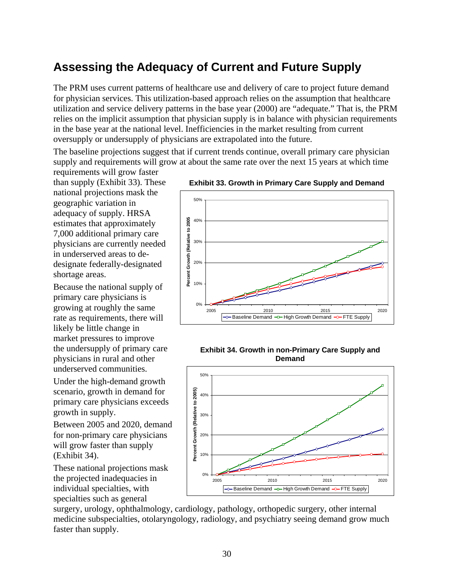# **Assessing the Adequacy of Current and Future Supply**

The PRM uses current patterns of healthcare use and delivery of care to project future demand for physician services. This utilization-based approach relies on the assumption that healthcare utilization and service delivery patterns in the base year (2000) are "adequate." That is, the PRM relies on the implicit assumption that physician supply is in balance with physician requirements in the base year at the national level. Inefficiencies in the market resulting from current oversupply or undersupply of physicians are extrapolated into the future.

The baseline projections suggest that if current trends continue, overall primary care physician supply and requirements will grow at about the same rate over the next 15 years at which time

requirements will grow faster than supply (Exhibit 33). These national projections mask the geographic variation in adequacy of supply. HRSA estimates that approximately 7,000 additional primary care physicians are currently needed in underserved areas to dedesignate federally-designated shortage areas.

Because the national supply of primary care physicians is growing at roughly the same rate as requirements, there will likely be little change in market pressures to improve the undersupply of primary care physicians in rural and other underserved communities.

Under the high-demand growth scenario, growth in demand for primary care physicians exceeds growth in supply.

Between 2005 and 2020, demand for non-primary care physicians will grow faster than supply (Exhibit 34).

These national projections mask the projected inadequacies in individual specialties, with specialties such as general

**Exhibit 33. Growth in Primary Care Supply and Demand** 







surgery, urology, ophthalmology, cardiology, pathology, orthopedic surgery, other internal medicine subspecialties, otolaryngology, radiology, and psychiatry seeing demand grow much faster than supply.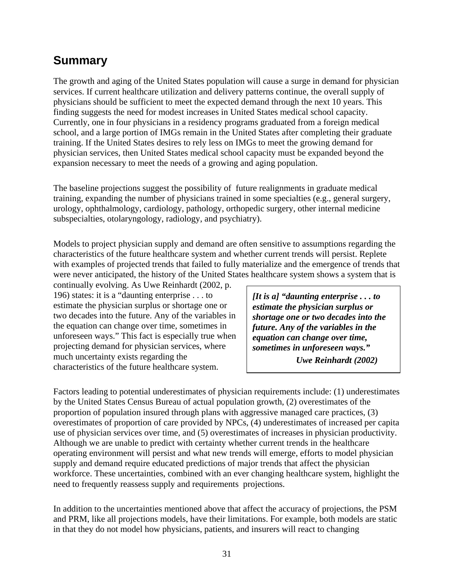# **Summary**

The growth and aging of the United States population will cause a surge in demand for physician services. If current healthcare utilization and delivery patterns continue, the overall supply of physicians should be sufficient to meet the expected demand through the next 10 years. This finding suggests the need for modest increases in United States medical school capacity. Currently, one in four physicians in a residency programs graduated from a foreign medical school, and a large portion of IMGs remain in the United States after completing their graduate training. If the United States desires to rely less on IMGs to meet the growing demand for physician services, then United States medical school capacity must be expanded beyond the expansion necessary to meet the needs of a growing and aging population.

The baseline projections suggest the possibility of future realignments in graduate medical training, expanding the number of physicians trained in some specialties (e.g., general surgery, urology, ophthalmology, cardiology, pathology, orthopedic surgery, other internal medicine subspecialties, otolaryngology, radiology, and psychiatry).

Models to project physician supply and demand are often sensitive to assumptions regarding the characteristics of the future healthcare system and whether current trends will persist. Replete with examples of projected trends that failed to fully materialize and the emergence of trends that were never anticipated, the history of the United States healthcare system shows a system that is

continually evolving. As Uwe Reinhardt (2002, p. 196) states: it is a "daunting enterprise . . . to estimate the physician surplus or shortage one or two decades into the future. Any of the variables in the equation can change over time, sometimes in unforeseen ways." This fact is especially true when projecting demand for physician services, where much uncertainty exists regarding the characteristics of the future healthcare system.

*[It is a] "daunting enterprise . . . to estimate the physician surplus or shortage one or two decades into the future. Any of the variables in the equation can change over time, sometimes in unforeseen ways."* 

*Uwe Reinhardt (2002)* 

Factors leading to potential underestimates of physician requirements include: (1) underestimates by the United States Census Bureau of actual population growth, (2) overestimates of the proportion of population insured through plans with aggressive managed care practices, (3) overestimates of proportion of care provided by NPCs, (4) underestimates of increased per capita use of physician services over time, and (5) overestimates of increases in physician productivity. Although we are unable to predict with certainty whether current trends in the healthcare operating environment will persist and what new trends will emerge, efforts to model physician supply and demand require educated predictions of major trends that affect the physician workforce. These uncertainties, combined with an ever changing healthcare system, highlight the need to frequently reassess supply and requirements projections.

In addition to the uncertainties mentioned above that affect the accuracy of projections, the PSM and PRM, like all projections models, have their limitations. For example, both models are static in that they do not model how physicians, patients, and insurers will react to changing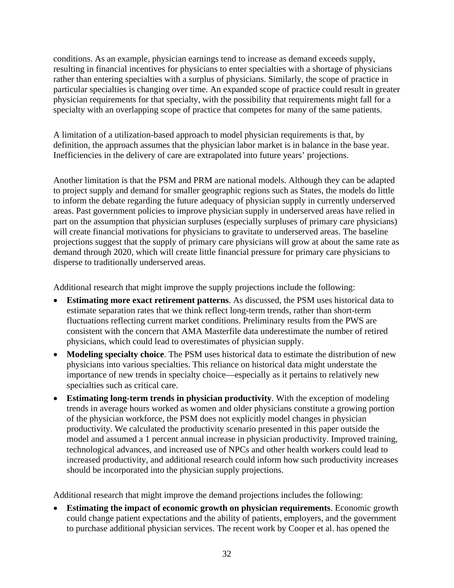conditions. As an example, physician earnings tend to increase as demand exceeds supply, resulting in financial incentives for physicians to enter specialties with a shortage of physicians rather than entering specialties with a surplus of physicians. Similarly, the scope of practice in particular specialties is changing over time. An expanded scope of practice could result in greater physician requirements for that specialty, with the possibility that requirements might fall for a specialty with an overlapping scope of practice that competes for many of the same patients.

A limitation of a utilization-based approach to model physician requirements is that, by definition, the approach assumes that the physician labor market is in balance in the base year. Inefficiencies in the delivery of care are extrapolated into future years' projections.

Another limitation is that the PSM and PRM are national models. Although they can be adapted to project supply and demand for smaller geographic regions such as States, the models do little to inform the debate regarding the future adequacy of physician supply in currently underserved areas. Past government policies to improve physician supply in underserved areas have relied in part on the assumption that physician surpluses (especially surpluses of primary care physicians) will create financial motivations for physicians to gravitate to underserved areas. The baseline projections suggest that the supply of primary care physicians will grow at about the same rate as demand through 2020, which will create little financial pressure for primary care physicians to disperse to traditionally underserved areas.

Additional research that might improve the supply projections include the following:

- **Estimating more exact retirement patterns**. As discussed, the PSM uses historical data to estimate separation rates that we think reflect long-term trends, rather than short-term fluctuations reflecting current market conditions. Preliminary results from the PWS are consistent with the concern that AMA Masterfile data underestimate the number of retired physicians, which could lead to overestimates of physician supply.
- **Modeling specialty choice**. The PSM uses historical data to estimate the distribution of new physicians into various specialties. This reliance on historical data might understate the importance of new trends in specialty choice—especially as it pertains to relatively new specialties such as critical care.
- **Estimating long-term trends in physician productivity**. With the exception of modeling trends in average hours worked as women and older physicians constitute a growing portion of the physician workforce, the PSM does not explicitly model changes in physician productivity. We calculated the productivity scenario presented in this paper outside the model and assumed a 1 percent annual increase in physician productivity. Improved training, technological advances, and increased use of NPCs and other health workers could lead to increased productivity, and additional research could inform how such productivity increases should be incorporated into the physician supply projections.

Additional research that might improve the demand projections includes the following:

**Estimating the impact of economic growth on physician requirements**. Economic growth could change patient expectations and the ability of patients, employers, and the government to purchase additional physician services. The recent work by Cooper et al. has opened the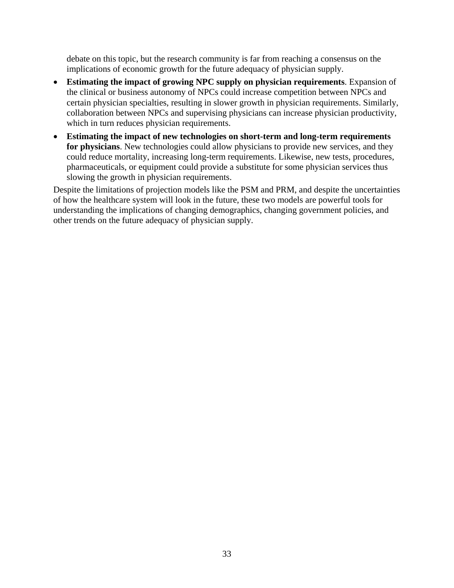debate on this topic, but the research community is far from reaching a consensus on the implications of economic growth for the future adequacy of physician supply.

- **Estimating the impact of growing NPC supply on physician requirements**. Expansion of the clinical or business autonomy of NPCs could increase competition between NPCs and certain physician specialties, resulting in slower growth in physician requirements. Similarly, collaboration between NPCs and supervising physicians can increase physician productivity, which in turn reduces physician requirements.
- **Estimating the impact of new technologies on short-term and long-term requirements for physicians**. New technologies could allow physicians to provide new services, and they could reduce mortality, increasing long-term requirements. Likewise, new tests, procedures, pharmaceuticals, or equipment could provide a substitute for some physician services thus slowing the growth in physician requirements.

Despite the limitations of projection models like the PSM and PRM, and despite the uncertainties of how the healthcare system will look in the future, these two models are powerful tools for understanding the implications of changing demographics, changing government policies, and other trends on the future adequacy of physician supply.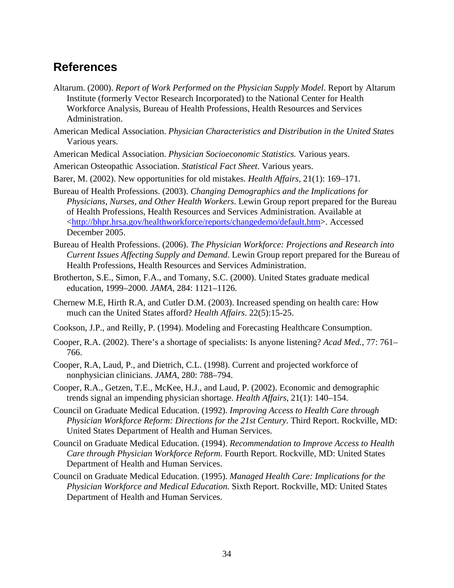## **References**

- Altarum. (2000). *Report of Work Performed on the Physician Supply Model*. Report by Altarum Institute (formerly Vector Research Incorporated) to the National Center for Health Workforce Analysis, Bureau of Health Professions, Health Resources and Services Administration.
- American Medical Association. *Physician Characteristics and Distribution in the United States*  Various years.
- American Medical Association. *Physician Socioeconomic Statistics.* Various years.
- American Osteopathic Association. *Statistical Fact Sheet*. Various years.
- Barer, M. (2002). New opportunities for old mistakes. *Health Affairs*, 21(1): 169–171.
- Bureau of Health Professions. (2003). *Changing Demographics and the Implications for Physicians, Nurses, and Other Health Workers*. Lewin Group report prepared for the Bureau of Health Professions, Health Resources and Services Administration. Available at <<http://bhpr.hrsa.gov/healthworkforce/reports/changedemo/default.htm>>. Accessed December 2005.
- Bureau of Health Professions. (2006). *The Physician Workforce: Projections and Research into Current Issues Affecting Supply and Demand*. Lewin Group report prepared for the Bureau of Health Professions, Health Resources and Services Administration.
- Brotherton, S.E., Simon, F.A., and Tomany, S.C. (2000). United States graduate medical education, 1999–2000. *JAMA*, 284: 1121–1126.
- Chernew M.E, Hirth R.A, and Cutler D.M. (2003). Increased spending on health care: How much can the United States afford? *Health Affairs*. 22(5):15-25.
- Cookson, J.P., and Reilly, P. (1994). Modeling and Forecasting Healthcare Consumption.
- Cooper, R.A. (2002). There's a shortage of specialists: Is anyone listening? *Acad Med.*, 77: 761– 766.
- Cooper, R.A, Laud, P., and Dietrich, C.L. (1998). Current and projected workforce of nonphysician clinicians. *JAMA*, 280: 788–794.
- Cooper, R.A., Getzen, T.E., McKee, H.J., and Laud, P. (2002). Economic and demographic trends signal an impending physician shortage. *Health Affairs*, 21(1): 140–154.
- Council on Graduate Medical Education. (1992). *Improving Access to Health Care through Physician Workforce Reform: Directions for the 21st Century. Third Report. Rockville, MD:* United States Department of Health and Human Services.
- Council on Graduate Medical Education. (1994). *Recommendation to Improve Access to Health Care through Physician Workforce Reform.* Fourth Report. Rockville, MD: United States Department of Health and Human Services.
- Council on Graduate Medical Education. (1995). *Managed Health Care: Implications for the Physician Workforce and Medical Education.* Sixth Report. Rockville, MD: United States Department of Health and Human Services.